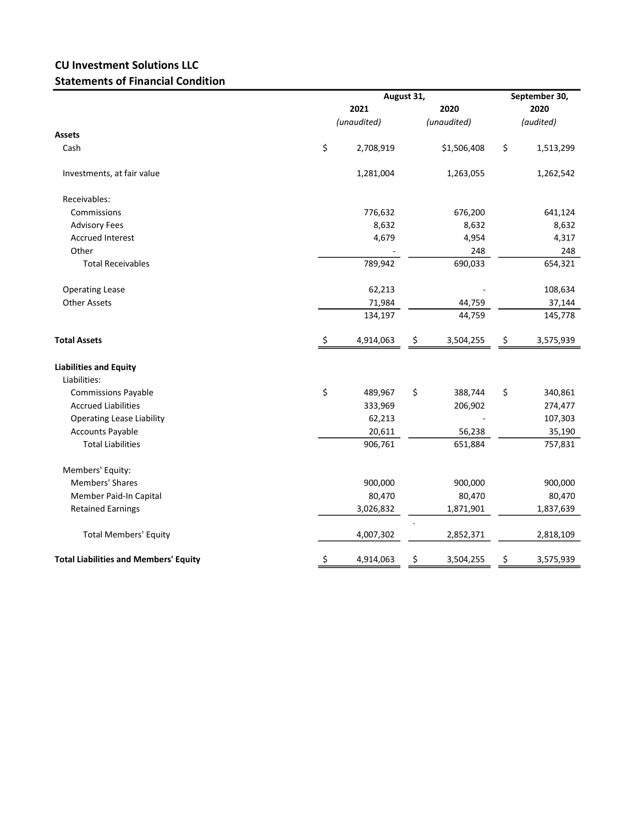## CU Investment Solutions LLC Statements of Financial Condition

|                                              |      | August 31,  | September 30,<br>2020 |             |           |           |
|----------------------------------------------|------|-------------|-----------------------|-------------|-----------|-----------|
|                                              | 2021 |             |                       |             | 2020      |           |
|                                              |      | (unaudited) |                       | (unaudited) | (audited) |           |
| <b>Assets</b>                                |      |             |                       |             |           |           |
| Cash                                         | \$   | 2,708,919   |                       | \$1,506,408 | \$        | 1,513,299 |
| Investments, at fair value                   |      | 1,281,004   |                       | 1,263,055   |           | 1,262,542 |
| Receivables:                                 |      |             |                       |             |           |           |
| Commissions                                  |      | 776,632     |                       | 676,200     |           | 641,124   |
| <b>Advisory Fees</b>                         |      | 8,632       |                       | 8,632       |           | 8,632     |
| <b>Accrued Interest</b>                      |      | 4,679       |                       | 4,954       |           | 4,317     |
| Other                                        |      |             |                       | 248         |           | 248       |
| <b>Total Receivables</b>                     |      | 789,942     |                       | 690,033     |           | 654,321   |
| <b>Operating Lease</b>                       |      | 62,213      |                       |             |           | 108,634   |
| <b>Other Assets</b>                          |      | 71,984      |                       | 44,759      |           | 37,144    |
|                                              |      | 134,197     |                       | 44,759      |           | 145,778   |
| <b>Total Assets</b>                          | \$   | 4,914,063   | \$                    | 3,504,255   | \$        | 3,575,939 |
| <b>Liabilities and Equity</b>                |      |             |                       |             |           |           |
| Liabilities:                                 |      |             |                       |             |           |           |
| <b>Commissions Payable</b>                   | \$   | 489,967     | \$                    | 388,744     | \$        | 340,861   |
| <b>Accrued Liabilities</b>                   |      | 333,969     |                       | 206,902     |           | 274,477   |
| <b>Operating Lease Liability</b>             |      | 62,213      |                       |             |           | 107,303   |
| <b>Accounts Payable</b>                      |      | 20,611      |                       | 56,238      |           | 35,190    |
| <b>Total Liabilities</b>                     |      | 906,761     |                       | 651,884     |           | 757,831   |
| Members' Equity:                             |      |             |                       |             |           |           |
| <b>Members' Shares</b>                       |      | 900,000     |                       | 900,000     |           | 900,000   |
| Member Paid-In Capital                       |      | 80,470      |                       | 80,470      |           | 80,470    |
| <b>Retained Earnings</b>                     |      | 3,026,832   |                       | 1,871,901   |           | 1,837,639 |
| <b>Total Members' Equity</b>                 |      | 4,007,302   |                       | 2,852,371   |           | 2,818,109 |
| <b>Total Liabilities and Members' Equity</b> | \$   | 4,914,063   | \$                    | 3,504,255   | \$        | 3,575,939 |